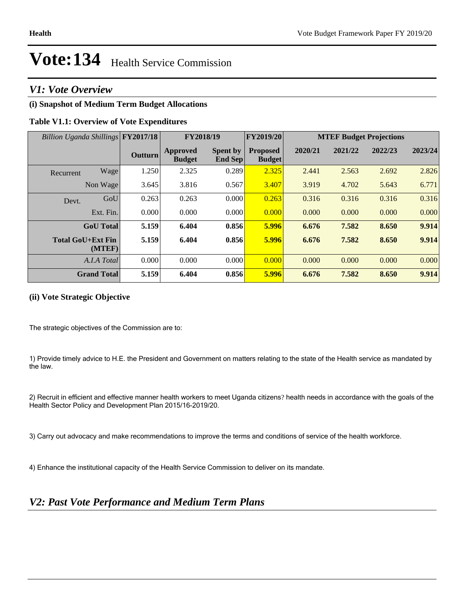### *V1: Vote Overview*

### **(i) Snapshot of Medium Term Budget Allocations**

### **Table V1.1: Overview of Vote Expenditures**

| Billion Uganda Shillings FY2017/18 |                  |                | FY2018/19                        |                                   | <b>FY2019/20</b>                 | <b>MTEF Budget Projections</b> |         |         |         |
|------------------------------------|------------------|----------------|----------------------------------|-----------------------------------|----------------------------------|--------------------------------|---------|---------|---------|
|                                    |                  | <b>Outturn</b> | <b>Approved</b><br><b>Budget</b> | <b>Spent by</b><br><b>End Sep</b> | <b>Proposed</b><br><b>Budget</b> | 2020/21                        | 2021/22 | 2022/23 | 2023/24 |
| Recurrent                          | Wage             | 1.250          | 2.325                            | 0.289                             | 2.325                            | 2.441                          | 2.563   | 2.692   | 2.826   |
|                                    | Non Wage         | 3.645          | 3.816                            | 0.567                             | 3.407                            | 3.919                          | 4.702   | 5.643   | 6.771   |
| Devt.                              | GoU              | 0.263          | 0.263                            | 0.000                             | 0.263                            | 0.316                          | 0.316   | 0.316   | 0.316   |
|                                    | Ext. Fin.        | 0.000          | 0.000                            | 0.000                             | 0.000                            | 0.000                          | 0.000   | 0.000   | 0.000   |
|                                    | <b>GoU</b> Total | 5.159          | 6.404                            | 0.856                             | 5.996                            | 6.676                          | 7.582   | 8.650   | 9.914   |
| <b>Total GoU+Ext Fin</b>           | (MTEF)           | 5.159          | 6.404                            | 0.856                             | 5.996                            | 6.676                          | 7.582   | 8.650   | 9.914   |
|                                    | A.I.A Total      | 0.000          | 0.000                            | 0.000                             | 0.000                            | 0.000                          | 0.000   | 0.000   | 0.000   |
| <b>Grand Total</b>                 |                  | 5.159          | 6.404                            | 0.856                             | 5.996                            | 6.676                          | 7.582   | 8.650   | 9.914   |

### **(ii) Vote Strategic Objective**

The strategic objectives of the Commission are to:

1) Provide timely advice to H.E. the President and Government on matters relating to the state of the Health service as mandated by the law.

2) Recruit in efficient and effective manner health workers to meet Uganda citizens? health needs in accordance with the goals of the Health Sector Policy and Development Plan 2015/16-2019/20.

3) Carry out advocacy and make recommendations to improve the terms and conditions of service of the health workforce.

4) Enhance the institutional capacity of the Health Service Commission to deliver on its mandate.

### *V2: Past Vote Performance and Medium Term Plans*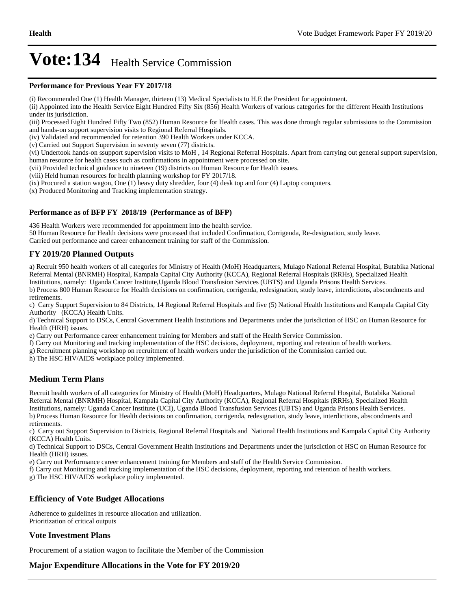#### **Performance for Previous Year FY 2017/18**

(i) Recommended One (1) Health Manager, thirteen (13) Medical Specialists to H.E the President for appointment.

(ii) Appointed into the Health Service Eight Hundred Fifty Six (856) Health Workers of various categories for the different Health Institutions under its jurisdiction.

(iii) Processed Eight Hundred Fifty Two (852) Human Resource for Health cases. This was done through regular submissions to the Commission and hands-on support supervision visits to Regional Referral Hospitals.

(iv) Validated and recommended for retention 390 Health Workers under KCCA.

(v) Carried out Support Supervision in seventy seven (77) districts.

(vi) Undertook hands-on ssupport supervision visits to MoH , 14 Regional Referral Hospitals. Apart from carrying out general support supervision, human resource for health cases such as confirmations in appointment were processed on site.

(vii) Provided technical guidance to nineteen (19) districts on Human Resource for Health issues.

(viii) Held human resources for health planning workshop for FY 2017/18.

(ix) Procured a station wagon, One (1) heavy duty shredder, four (4) desk top and four (4) Laptop computers.

(x) Produced Monitoring and Tracking implementation strategy.

### **Performance as of BFP FY 2018/19 (Performance as of BFP)**

436 Health Workers were recommended for appointment into the health service.

50 Human Resource for Health decisions were processed that included Confirmation, Corrigenda, Re-designation, study leave.

Carried out performance and career enhancement training for staff of the Commission.

### **FY 2019/20 Planned Outputs**

a) Recruit 950 health workers of all categories for Ministry of Health (MoH) Headquarters, Mulago National Referral Hospital, Butabika National Referral Mental (BNRMH) Hospital, Kampala Capital City Authority (KCCA), Regional Referral Hospitals (RRHs), Specialized Health Institutions, namely: Uganda Cancer Institute,Uganda Blood Transfusion Services (UBTS) and Uganda Prisons Health Services.

b) Process 800 Human Resource for Health decisions on confirmation, corrigenda, redesignation, study leave, interdictions, abscondments and retirements.

c) Carry Support Supervision to 84 Districts, 14 Regional Referral Hospitals and five (5) National Health Institutions and Kampala Capital City Authority (KCCA) Health Units.

d) Technical Support to DSCs, Central Government Health Institutions and Departments under the jurisdiction of HSC on Human Resource for Health (HRH) issues.

e) Carry out Performance career enhancement training for Members and staff of the Health Service Commission.

f) Carry out Monitoring and tracking implementation of the HSC decisions, deployment, reporting and retention of health workers.

g) Recruitment planning workshop on recruitment of health workers under the jurisdiction of the Commission carried out.

h) The HSC HIV/AIDS workplace policy implemented.

### **Medium Term Plans**

Recruit health workers of all categories for Ministry of Health (MoH) Headquarters, Mulago National Referral Hospital, Butabika National Referral Mental (BNRMH) Hospital, Kampala Capital City Authority (KCCA), Regional Referral Hospitals (RRHs), Specialized Health Institutions, namely: Uganda Cancer Institute (UCI), Uganda Blood Transfusion Services (UBTS) and Uganda Prisons Health Services. b) Process Human Resource for Health decisions on confirmation, corrigenda, redesignation, study leave, interdictions, abscondments and retirements.

c) Carry out Support Supervision to Districts, Regional Referral Hospitals and National Health Institutions and Kampala Capital City Authority (KCCA) Health Units.

d) Technical Support to DSCs, Central Government Health Institutions and Departments under the jurisdiction of HSC on Human Resource for Health (HRH) issues.

e) Carry out Performance career enhancement training for Members and staff of the Health Service Commission.

f) Carry out Monitoring and tracking implementation of the HSC decisions, deployment, reporting and retention of health workers.

g) The HSC HIV/AIDS workplace policy implemented.

### **Efficiency of Vote Budget Allocations**

Adherence to guidelines in resource allocation and utilization. Prioritization of critical outputs

### **Vote Investment Plans**

Procurement of a station wagon to facilitate the Member of the Commission

### **Major Expenditure Allocations in the Vote for FY 2019/20**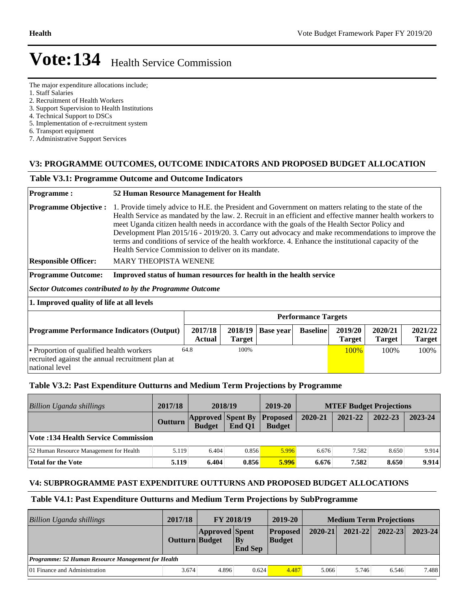The major expenditure allocations include;

1. Staff Salaries

national level

2. Recruitment of Health Workers

- 3. Support Supervision to Health Institutions
- 4. Technical Support to DSCs
- 5. Implementation of e-recruitment system
- 6. Transport equipment
- 7. Administrative Support Services

### **V3: PROGRAMME OUTCOMES, OUTCOME INDICATORS AND PROPOSED BUDGET ALLOCATION**

#### **Table V3.1: Programme Outcome and Outcome Indicators**

#### **Programme : 52 Human Resource Management for Health Programme Objective :** 1. Provide timely advice to H.E. the President and Government on matters relating to the state of the Health Service as mandated by the law. 2. Recruit in an efficient and effective manner health workers to meet Uganda citizen health needs in accordance with the goals of the Health Sector Policy and Development Plan 2015/16 - 2019/20. 3. Carry out advocacy and make recommendations to improve the terms and conditions of service of the health workforce. 4. Enhance the institutional capacity of the Health Service Commission to deliver on its mandate. **Responsible Officer:** MARY THEOPISTA WENENE **Programme Outcome: Improved status of human resources for health in the health service** *Sector Outcomes contributed to by the Programme Outcome* **1. Improved quality of life at all levels Performance Targets Programme Performance Indicators (Output)** 2017/18 **Actual 2018/19 Target Base year Baseline 2019/20 Target 2020/21 Target 2021/22 Target**  Proportion of qualified health workers recruited against the annual recruitment plan at 64.8 100% 100% 100% 100% 100% 100%

### **Table V3.2: Past Expenditure Outturns and Medium Term Projections by Programme**

| Billion Uganda shillings                  | 2017/18        | 2018/19       |                                             | 2019-20       | <b>MTEF Budget Projections</b> |         |         |         |
|-------------------------------------------|----------------|---------------|---------------------------------------------|---------------|--------------------------------|---------|---------|---------|
|                                           | <b>Outturn</b> | <b>Budget</b> | <b>Approved Spent By Proposed</b><br>End O1 | <b>Budget</b> | 2020-21                        | 2021-22 | 2022-23 | 2023-24 |
| <b>Vote:134 Health Service Commission</b> |                |               |                                             |               |                                |         |         |         |
| 52 Human Resource Management for Health   | 5.119          | 6.404         | 0.856                                       | 5.996         | 6.676                          | 7.582   | 8.650   | 9.914   |
| Total for the Vote                        | 5.119          | 6.404         | 0.856                                       | 5.996         | 6.676                          | 7.582   | 8.650   | 9.914   |

### **V4: SUBPROGRAMME PAST EXPENDITURE OUTTURNS AND PROPOSED BUDGET ALLOCATIONS**

### **Table V4.1: Past Expenditure Outturns and Medium Term Projections by SubProgramme**

| <b>Billion Uganda shillings</b>                    | 2017/18        | FY 2018/19            |                                          | 2019-20                          | <b>Medium Term Projections</b> |             |             |         |
|----------------------------------------------------|----------------|-----------------------|------------------------------------------|----------------------------------|--------------------------------|-------------|-------------|---------|
|                                                    | Outturn Budget | <b>Approved Spent</b> | $\mathbf{B}\mathbf{v}$<br><b>End Sep</b> | <b>Proposed</b><br><b>Budget</b> | $2020 - 21$                    | $2021 - 22$ | $2022 - 23$ | 2023-24 |
| Programme: 52 Human Resource Management for Health |                |                       |                                          |                                  |                                |             |             |         |
| 01 Finance and Administration                      | 3.674          | 4.896                 | 0.624                                    | 4.487                            | 5.066                          | 5.746       | 6.546       | 7.488   |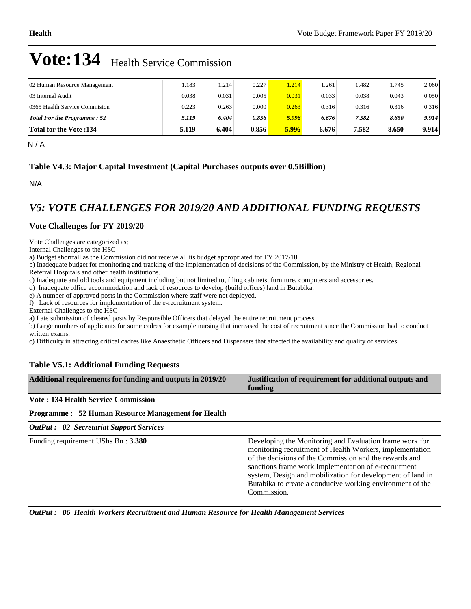| 02 Human Resource Management       | .183  | 1.214 | 0.227 | 1.214 | .261  | .482  | 1.745 | 2.060 |
|------------------------------------|-------|-------|-------|-------|-------|-------|-------|-------|
| 03 Internal Audit                  | 0.038 | 0.031 | 0.005 | 0.031 | 0.033 | 0.038 | 0.043 | 0.050 |
| 0365 Health Service Commision      | 0.223 | 0.263 | 0.000 | 0.263 | 0.316 | 0.316 | 0.316 | 0.316 |
| <b>Total For the Programme: 52</b> | 5.119 | 6.404 | 0.856 | 5.996 | 6.676 | 7.582 | 8.650 | 9.914 |
| <b>Total for the Vote :134</b>     | 5.119 | 6.404 | 0.856 | 5.996 | 6.676 | 7.582 | 8.650 | 9.914 |

N / A

### **Table V4.3: Major Capital Investment (Capital Purchases outputs over 0.5Billion)**

N/A

### *V5: VOTE CHALLENGES FOR 2019/20 AND ADDITIONAL FUNDING REQUESTS*

### **Vote Challenges for FY 2019/20**

Vote Challenges are categorized as;

Internal Challenges to the HSC

a) Budget shortfall as the Commission did not receive all its budget appropriated for FY 2017/18

b) Inadequate budget for monitoring and tracking of the implementation of decisions of the Commission, by the Ministry of Health, Regional Referral Hospitals and other health institutions.

c) Inadequate and old tools and equipment including but not limited to, filing cabinets, furniture, computers and accessories.

d) Inadequate office accommodation and lack of resources to develop (build offices) land in Butabika.

e) A number of approved posts in the Commission where staff were not deployed.

f) Lack of resources for implementation of the e-recruitment system.

External Challenges to the HSC

a) Late submission of cleared posts by Responsible Officers that delayed the entire recruitment process.

b) Large numbers of applicants for some cadres for example nursing that increased the cost of recruitment since the Commission had to conduct written exams.

c) Difficulty in attracting critical cadres like Anaesthetic Officers and Dispensers that affected the availability and quality of services.

### **Table V5.1: Additional Funding Requests**

| Additional requirements for funding and outputs in 2019/20 | Justification of requirement for additional outputs and<br>funding                                                                                                                                                                                                                                                                                                               |
|------------------------------------------------------------|----------------------------------------------------------------------------------------------------------------------------------------------------------------------------------------------------------------------------------------------------------------------------------------------------------------------------------------------------------------------------------|
| Vote: 134 Health Service Commission                        |                                                                                                                                                                                                                                                                                                                                                                                  |
| <b>Programme: 52 Human Resource Management for Health</b>  |                                                                                                                                                                                                                                                                                                                                                                                  |
| <b>OutPut :</b> 02 Secretariat Support Services            |                                                                                                                                                                                                                                                                                                                                                                                  |
| Funding requirement UShs Bn: 3.380                         | Developing the Monitoring and Evaluation frame work for<br>monitoring recruitment of Health Workers, implementation<br>of the decisions of the Commission and the rewards and<br>sanctions frame work, Implementation of e-recruitment<br>system, Design and mobilization for development of land in<br>Butabika to create a conducive working environment of the<br>Commission. |